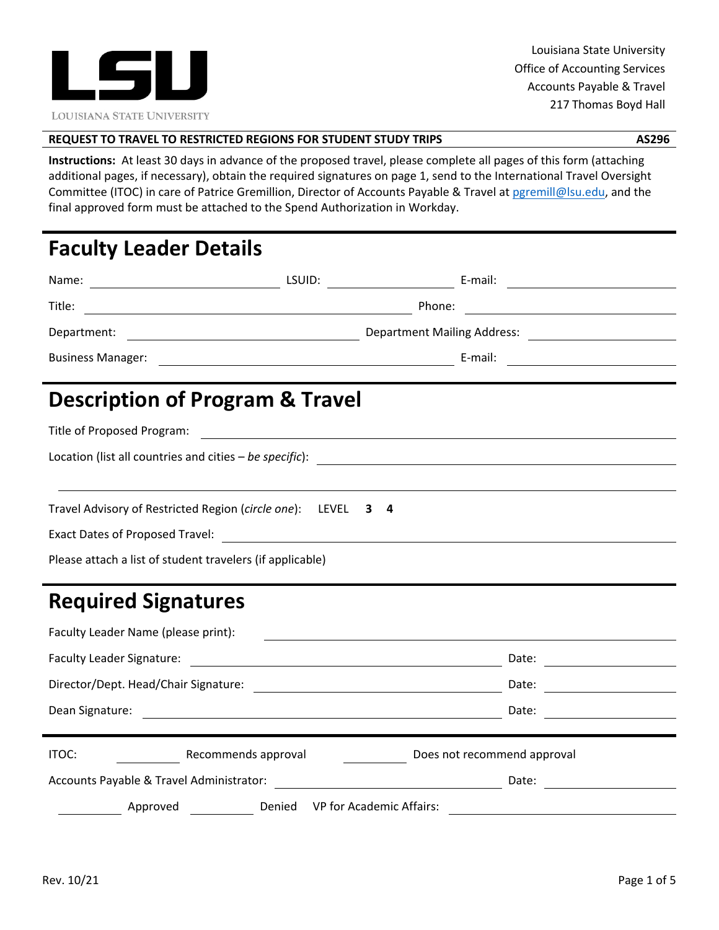

## **REQUEST TO TRAVEL TO RESTRICTED REGIONS FOR STUDENT STUDY TRIPS AS296**

 **Instructions:** At least 30 days in advance of the proposed travel, please complete all pages of this form (attaching additional pages, if necessary), obtain the required signatures on page 1, send to the International Travel Oversight Committee (ITOC) in care of Patrice Gremillion, Director of Accounts Payable & Travel at pgremill@lsu.edu, and the final approved form must be attached to the Spend Authorization in Workday.

# **Faculty Leader Details**

| Name:                                                                                                                                                                                                                          | LSUID: | E-mail:<br><u> 1990 - Johann Barbara, martin a</u>   | <u> 1989 - Johann Barnett, fransk politik (d. 1989)</u>                                                              |
|--------------------------------------------------------------------------------------------------------------------------------------------------------------------------------------------------------------------------------|--------|------------------------------------------------------|----------------------------------------------------------------------------------------------------------------------|
| Title:<br><u> 1989 - Johann Barn, mars eta bat erroman erroman erroman erroman erroman erroman erroman erroman erroman err</u>                                                                                                 |        | Phone:                                               | <u> Alexandria de la contrada de la contrada de la contrada de la contrada de la contrada de la contrada de la c</u> |
| Department:                                                                                                                                                                                                                    |        |                                                      | Department Mailing Address: 1998 Manual Library 2014 Mailing Address: 2014 Mailing Address: 2014 Mailing Address:    |
| Business Manager: 1990 Manager: 2008 Manager: 2008 Manager: 2008 Manager: 2008 Manager: 2008 Manager: 2008 Manager: 2008 Manager: 2008 Manager: 2008 Manager: 2008 Manager: 2008 Manager: 2008 Manager: 2008 Manager: 2008 Man |        |                                                      |                                                                                                                      |
| <b>Description of Program &amp; Travel</b>                                                                                                                                                                                     |        |                                                      |                                                                                                                      |
| Title of Proposed Program:                                                                                                                                                                                                     |        | <u> 1980 - Johann Stein, fransk politik (* 1950)</u> |                                                                                                                      |
|                                                                                                                                                                                                                                |        |                                                      |                                                                                                                      |
|                                                                                                                                                                                                                                |        |                                                      |                                                                                                                      |
| Travel Advisory of Restricted Region (circle one): LEVEL                                                                                                                                                                       | 34     |                                                      |                                                                                                                      |
| Exact Dates of Proposed Travel: National Contract Contract Contract Contract Contract Contract Contract Contract Contract Contract Contract Contract Contract Contract Contract Contract Contract Contract Contract Contract C |        |                                                      |                                                                                                                      |
| Please attach a list of student travelers (if applicable)                                                                                                                                                                      |        |                                                      |                                                                                                                      |
| <b>Required Signatures</b>                                                                                                                                                                                                     |        |                                                      |                                                                                                                      |
| Faculty Leader Name (please print):                                                                                                                                                                                            |        |                                                      |                                                                                                                      |
| <b>Faculty Leader Signature:</b>                                                                                                                                                                                               |        |                                                      | Date:                                                                                                                |

Director/Dept. Head/Chair Signature: Date: Date: Date: Date: Date: Date: Date: Date: Date: Date: Date: Date: Date: Date: Date: Date: Date: Date: Date: Date: Date: Date: Date: Date: Date: Date: Date: Date: Date: Date: Date:

Dean Signature: Date:

Accounts Payable & Travel Administrator: National Accounts Payable & Travel Administrator:

Approved Denied VP for Academic Affairs:

ITOC: The Recommends approval **Recommend approval** Does not recommend approval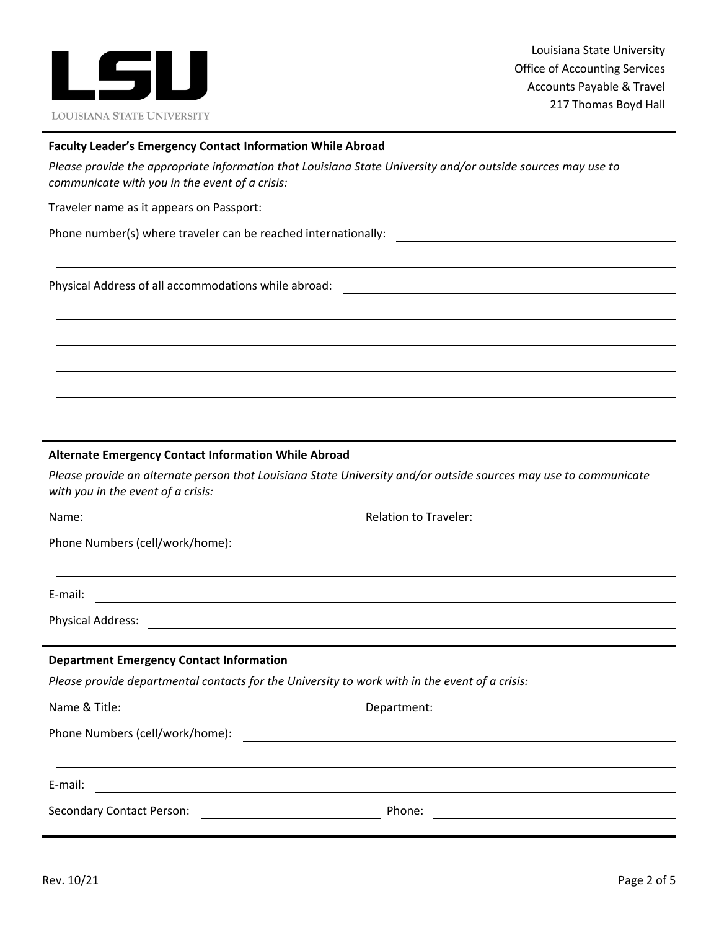

#### **Faculty Leader's Emergency Contact Information While Abroad**

Please provide the appropriate information that Louisiana State University and/or outside sources may use to  *communicate with you in the event of a crisis:*

Traveler name as it appears on Passport:

Phone number(s) where traveler can be reached internationally:

Physical Address of all accommodations while abroad:

#### **Alternate Emergency Contact Information While Abroad**

Please provide an alternate person that Louisiana State University and/or outside sources may use to communicate  *with you in the event of a crisis:*

| Name:<br><u> 1980 - Johann Stoff, deutscher Stoffen und der Stoffen und der Stoffen und der Stoffen und der Stoffen und der</u> | Relation to Traveler: <u>_____________________</u>                                             |  |  |
|---------------------------------------------------------------------------------------------------------------------------------|------------------------------------------------------------------------------------------------|--|--|
|                                                                                                                                 |                                                                                                |  |  |
|                                                                                                                                 |                                                                                                |  |  |
| E-mail:                                                                                                                         |                                                                                                |  |  |
|                                                                                                                                 |                                                                                                |  |  |
|                                                                                                                                 |                                                                                                |  |  |
| <b>Department Emergency Contact Information</b>                                                                                 |                                                                                                |  |  |
|                                                                                                                                 | Please provide departmental contacts for the University to work with in the event of a crisis: |  |  |
| Name & Title:                                                                                                                   |                                                                                                |  |  |
|                                                                                                                                 |                                                                                                |  |  |
|                                                                                                                                 |                                                                                                |  |  |
|                                                                                                                                 |                                                                                                |  |  |

| <b>Secondary Contact Person:</b> | Phone: |  |
|----------------------------------|--------|--|
|                                  |        |  |

E‐mail: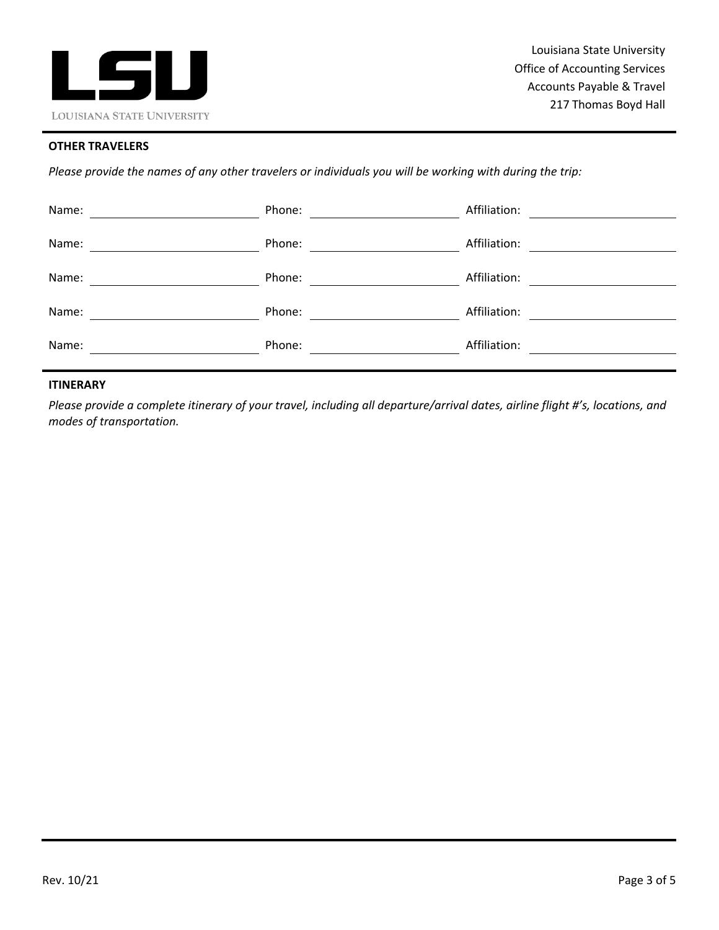

## **OTHER TRAVELERS**

Please provide the names of any other travelers or individuals you will be working with during the trip:

| Name: | Phone: | Affiliation: |
|-------|--------|--------------|
| Name: | Phone: | Affiliation: |
| Name: | Phone: | Affiliation: |
| Name: | Phone: | Affiliation: |
| Name: | Phone: | Affiliation: |
|       |        |              |

## **ITINERARY**

Please provide a complete itinerary of your travel, including all departure/arrival dates, airline flight #'s, locations, and  *modes of transportation.*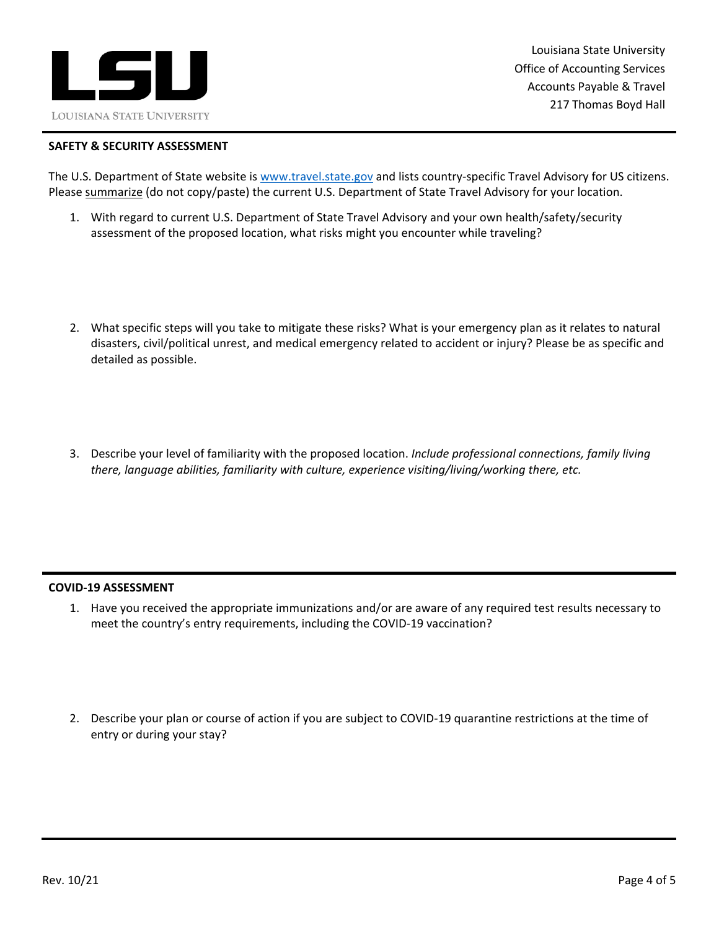

 Louisiana State University Office of Accounting Services Accounts Payable & Travel 217 Thomas Boyd Hall

#### **SAFETY & SECURITY ASSESSMENT**

The U.S. Department of State website is www.travel.state.gov and lists country-specific Travel Advisory for US citizens. Please summarize (do not copy/paste) the current U.S. Department of State Travel Advisory for your location.

- 1. With regard to current U.S. Department of State Travel Advisory and your own health/safety/security assessment of the proposed location, what risks might you encounter while traveling?
- 2. What specific steps will you take to mitigate these risks? What is your emergency plan as it relates to natural disasters, civil/political unrest, and medical emergency related to accident or injury? Please be as specific and detailed as possible.
- 3. Describe your level of familiarity with the proposed location. *Include professional connections, family living there, language abilities, familiarity with culture, experience visiting/living/working there, etc.*

#### **COVID‐19 ASSESSMENT**

- 1. Have you received the appropriate immunizations and/or are aware of any required test results necessary to meet the country's entry requirements, including the COVID‐19 vaccination?
- 2. Describe your plan or course of action if you are subject to COVID‐19 quarantine restrictions at the time of entry or during your stay?